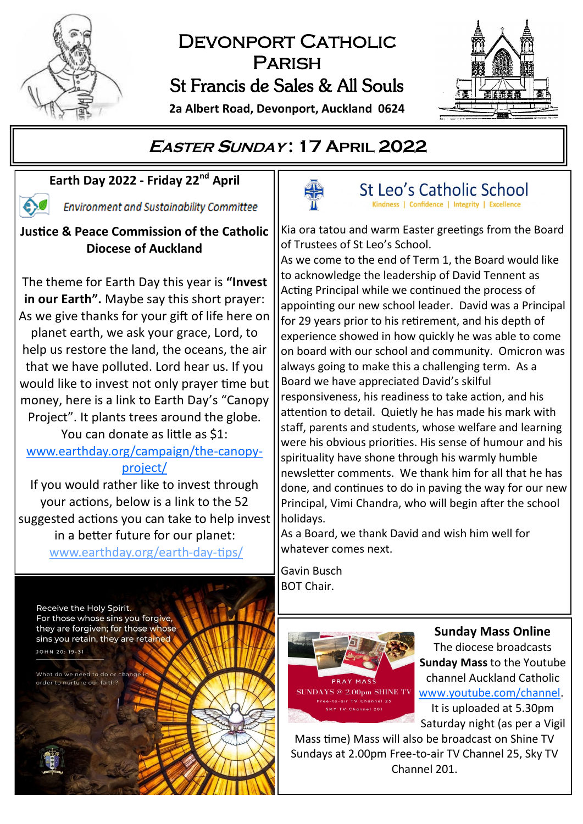

# DEVONPORT CATHOLIC Parish St Francis de Sales & All Souls

**2a Albert Road, Devonport, Auckland 0624**



# **EASTER <sup>S</sup>UNDAY : 17 APRIL 2022**

# **Earth Day 2022 - Friday 22nd April**

**Environment and Sustainability Committee** 

### **Justice & Peace Commission of the Catholic Diocese of Auckland**

The theme for Earth Day this year is **"Invest in our Earth".** Maybe say this short prayer: As we give thanks for your gift of life here on planet earth, we ask your grace, Lord, to help us restore the land, the oceans, the air that we have polluted. Lord hear us. If you would like to invest not only prayer time but money, here is a link to Earth Day's "Canopy Project". It plants trees around the globe.

You can donate as little as \$1: [www.earthday.org/campaign/the](file:///E:/EXT/9S/%0dhttps:/www.earthday.org/campaign/the-canopy-project/)-canopy[project/](file:///E:/EXT/9S/%0dhttps:/www.earthday.org/campaign/the-canopy-project/)

If you would rather like to invest through your actions, below is a link to the 52 suggested actions you can take to help invest in a better future for our planet: [www.earthday.org/earth](https://www.earthday.org/earth-day-tips/)-day-tips/

Receive the Holy Spirit. For those whose sins you forgive. they are forgiven; for those whose sins you retain, they are retained

What do we need to do or change order to purture our faith?

JOHN 20: 19-31



St Leo's Catholic School Kindness | Confidence | Integrity | Excellence

Kia ora tatou and warm Easter greetings from the Board of Trustees of St Leo's School.

As we come to the end of Term 1, the Board would like to acknowledge the leadership of David Tennent as Acting Principal while we continued the process of appointing our new school leader. David was a Principal for 29 years prior to his retirement, and his depth of experience showed in how quickly he was able to come on board with our school and community. Omicron was always going to make this a challenging term. As a Board we have appreciated David's skilful responsiveness, his readiness to take action, and his attention to detail. Quietly he has made his mark with staff, parents and students, whose welfare and learning were his obvious priorities. His sense of humour and his spirituality have shone through his warmly humble newsletter comments. We thank him for all that he has done, and continues to do in paving the way for our new Principal, Vimi Chandra, who will begin after the school holidays.

As a Board, we thank David and wish him well for whatever comes next.

Gavin Busch BOT Chair.



**Sunday Mass Online** The diocese broadcasts **Sunday Mass** to the Youtube channel Auckland Catholic [www.youtube.com/channel.](https://www.youtube.com/channel/UCb7o1XYfQet-mOW1mJSzfow) It is uploaded at 5.30pm Saturday night (as per a Vigil

Mass time) Mass will also be broadcast on Shine TV Sundays at 2.00pm Free-to-air TV Channel 25, Sky TV Channel 201.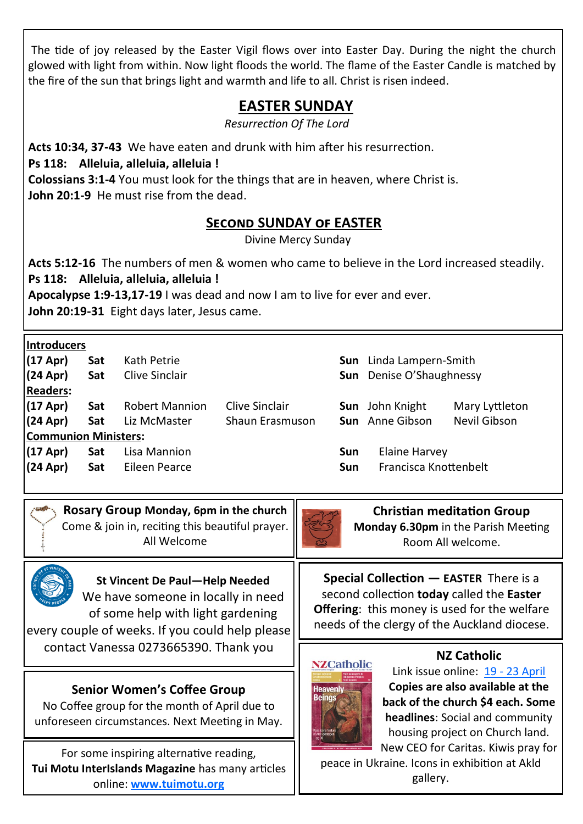The tide of joy released by the Easter Vigil flows over into Easter Day. During the night the church glowed with light from within. Now light floods the world. The flame of the Easter Candle is matched by the fire of the sun that brings light and warmth and life to all. Christ is risen indeed.

# **EASTER SUNDAY**

*Resurrection Of The Lord*

**Acts 10:34, 37-43** We have eaten and drunk with him after his resurrection.

**Ps 118: Alleluia, alleluia, alleluia !**

**Colossians 3:1-4** You must look for the things that are in heaven, where Christ is. **John 20:1-9** He must rise from the dead.

### **Second SUNDAY of EASTER**

Divine Mercy Sunday

**Acts 5:12-16** The numbers of men & women who came to believe in the Lord increased steadily. **Ps 118: Alleluia, alleluia, alleluia !**

**Apocalypse 1:9-13,17-19** I was dead and now I am to live for ever and ever.

**John 20:19-31** Eight days later, Jesus came.

|  |  |  | Introducers |  |  |  |
|--|--|--|-------------|--|--|--|
|  |  |  |             |  |  |  |

| $(17$ Apr $)$               | Sat |                       | Kath Petrie     |     |                                 | Sun Linda Lampern-Smith |  |  |
|-----------------------------|-----|-----------------------|-----------------|-----|---------------------------------|-------------------------|--|--|
| $(24$ Apr $)$               | Sat | Clive Sinclair        |                 |     | <b>Sun</b> Denise O'Shaughnessy |                         |  |  |
| <b>Readers:</b>             |     |                       |                 |     |                                 |                         |  |  |
| $(17$ Apr $)$               | Sat | <b>Robert Mannion</b> | Clive Sinclair  |     | <b>Sun</b> John Knight          | Mary Lyttleton          |  |  |
| $(24$ Apr $)$               | Sat | Liz McMaster          | Shaun Erasmuson |     | <b>Sun</b> Anne Gibson          | Nevil Gibson            |  |  |
| <b>Communion Ministers:</b> |     |                       |                 |     |                                 |                         |  |  |
| $(17$ Apr $)$               | Sat | Lisa Mannion          |                 | Sun | Elaine Harvey                   |                         |  |  |
| $(24$ Apr $)$               | Sat | Eileen Pearce         |                 | Sun | Francisca Knottenbelt           |                         |  |  |
|                             |     |                       |                 |     |                                 |                         |  |  |

**Rosary Group Monday, 6pm in the church**  Come & join in, reciting this beautiful prayer. All Welcome



**Christian meditation Group**

**Special Collection — EASTER** There is a second collection **today** called the **Easter Offering**: this money is used for the welfare needs of the clergy of the Auckland diocese.

**Monday 6.30pm** in the Parish Meeting Room All welcome.



**St Vincent De Paul—Help Needed** We have someone in locally in need of some help with light gardening

every couple of weeks. If you could help please contact Vanessa 0273665390. Thank you

## **Senior Women's Coffee Group**

No Coffee group for the month of April due to unforeseen circumstances. Next Meeting in May.

For some inspiring alternative reading, **Tui Motu InterIslands Magazine** has many articles online: **[www.tuimotu.org](http://www.tuimotu.org)**



#### **NZ Catholic**

Link issue online: 19 - [23 April](https://indd.adobe.com/view/f48230de-86ce-46ce-8d55-5dcdef6650b8) **Copies are also available at the back of the church \$4 each. Some headlines**: Social and community housing project on Church land. New CEO for Caritas. Kiwis pray for

peace in Ukraine. Icons in exhibition at Akld gallery.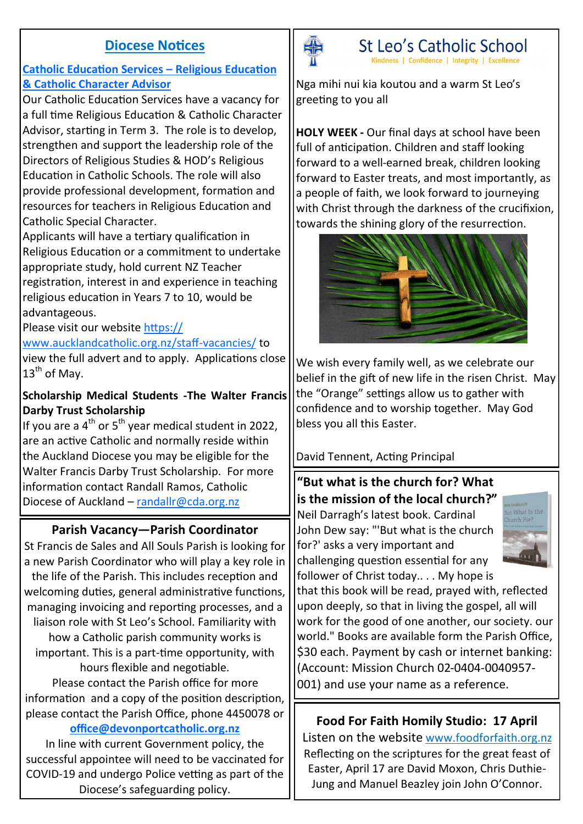### **Diocese Notices**

#### **Catholic Education Services – Religious Education & Catholic Character Advisor**

Our Catholic Education Services have a vacancy for a full time Religious Education & Catholic Character Advisor, starting in Term 3. The role is to develop, strengthen and support the leadership role of the Directors of Religious Studies & HOD's Religious Education in Catholic Schools. The role will also provide professional development, formation and resources for teachers in Religious Education and Catholic Special Character.

Applicants will have a tertiary qualification in Religious Education or a commitment to undertake appropriate study, hold current NZ Teacher registration, interest in and experience in teaching religious education in Years 7 to 10, would be advantageous.

### Please visit our website [https://](https://www.aucklandcatholic.org.nz/staff-vacancies/)

[www.aucklandcatholic.org.nz/staff](https://www.aucklandcatholic.org.nz/staff-vacancies/)-vacancies/ to view the full advert and to apply. Applications close  $13^{th}$  of Mav.

#### **Scholarship Medical Students -The Walter Francis Darby Trust Scholarship**

If you are a  $4<sup>th</sup>$  or  $5<sup>th</sup>$  year medical student in 2022, are an active Catholic and normally reside within the Auckland Diocese you may be eligible for the Walter Francis Darby Trust Scholarship. For more information contact Randall Ramos, Catholic Diocese of Auckland – [randallr@cda.org.nz](mailto:randallr@cda.org.nz)

## **Parish Vacancy—Parish Coordinator**

St Francis de Sales and All Souls Parish is looking for a new Parish Coordinator who will play a key role in the life of the Parish. This includes reception and welcoming duties, general administrative functions, managing invoicing and reporting processes, and a liaison role with St Leo's School. Familiarity with how a Catholic parish community works is important. This is a part-time opportunity, with hours flexible and negotiable. Please contact the Parish office for more information and a copy of the position description,

please contact the Parish Office, phone 4450078 or

### **[office@devonportcatholic.org.nz](mailto:office@devonportcatholic.org.nz)**

In line with current Government policy, the successful appointee will need to be vaccinated for COVID-19 and undergo Police vetting as part of the Diocese's safeguarding policy.



St Leo's Catholic School Kindness | Confidence | Integrity | Excellence

Nga mihi nui kia koutou and a warm St Leo's greeting to you all

**HOLY WEEK -** Our final days at school have been full of anticipation. Children and staff looking forward to a well-earned break, children looking forward to Easter treats, and most importantly, as a people of faith, we look forward to journeying with Christ through the darkness of the crucifixion, towards the shining glory of the resurrection.



We wish every family well, as we celebrate our belief in the gift of new life in the risen Christ. May the "Orange" settings allow us to gather with confidence and to worship together. May God bless you all this Easter.

#### David Tennent, Acting Principal

**"But what is the church for? What is the mission of the local church?"**  Neil Darragh's latest book. Cardinal John Dew say: "'But what is the church for?' asks a very important and challenging question essential for any follower of Christ today.. . . My hope is



that this book will be read, prayed with, reflected upon deeply, so that in living the gospel, all will work for the good of one another, our society. our world." Books are available form the Parish Office, \$30 each. Payment by cash or internet banking: [\(Account: Mission Church 02](https://foodforfaith.org.nz/)-0404-0040957- 001) and use your name as a reference.

### **Food For Faith Homily Studio: 17 April**

Listen on the website [www.foodforfaith.org.nz](https://foodforfaith.org.nz/series/homily-studio/) Reflecting on the scriptures for the great feast of Easter, April 17 are David Moxon, Chris Duthie-Jung and Manuel Beazley join John O'Connor.